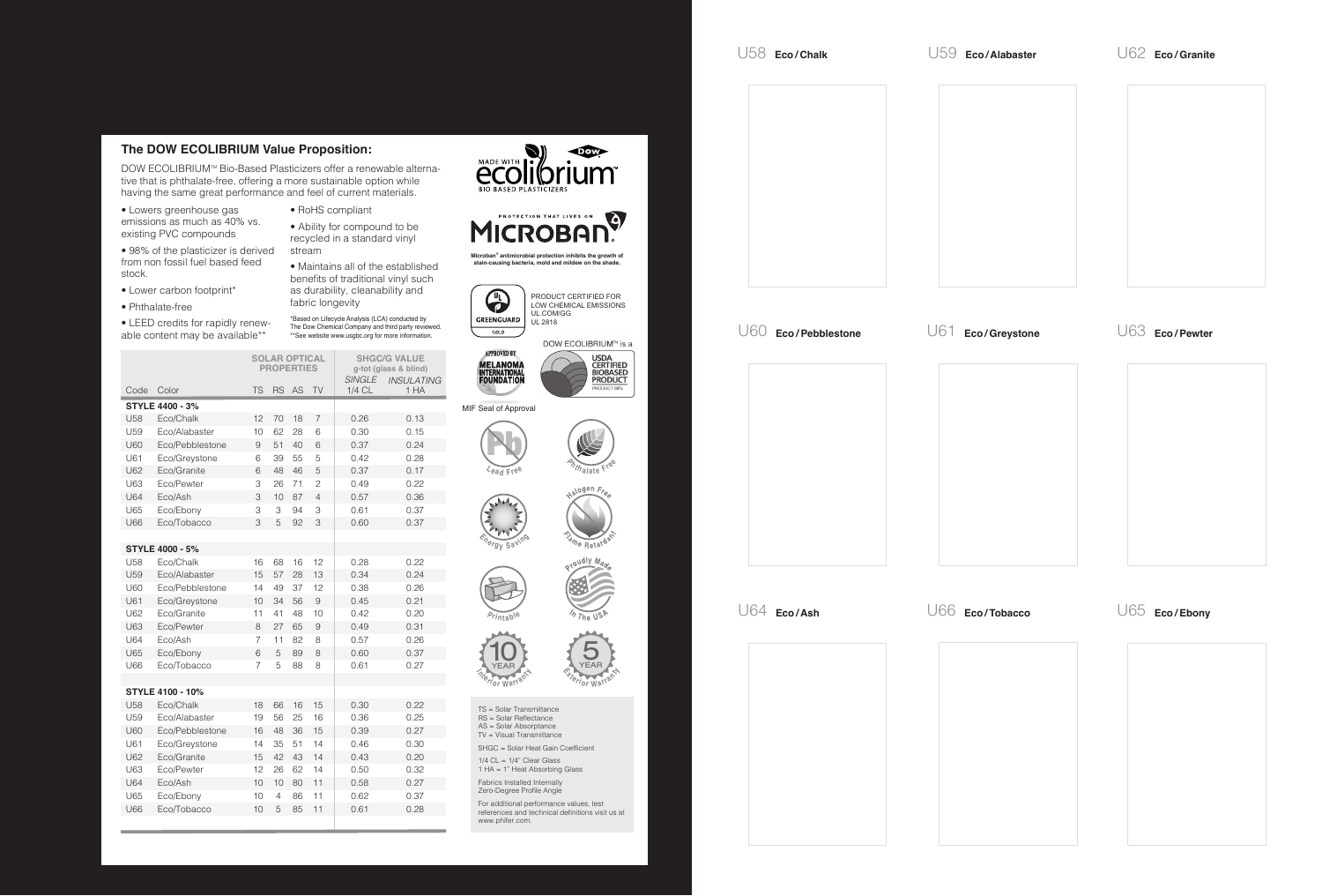## **The DOW ECOLIBRIUM Value Proposition:**

DOW ECOLIBRIUM™ Bio-Based Plasticizers offer a renewable alternative that is phthalate-free, offering a more sustainable option while having the same great performance and feel of current materials.

• Lowers greenhouse gas emissions as much as 40% vs. existing PVC compounds

• 98% of the plasticizer is derived from non fossil fuel based feed stock.

- Lower carbon footprint\*
- Phthalate-free

• LEED credits for rapidly renewable content may be available\*\*

• RoHS compliant

• Ability for compound to be recycled in a standard vinyl stream

• Maintains all of the established benefits of traditional vinyl such as durability, cleanability and fabric longevity

\*Based on Lifecycle Analysis (LCA) conducted by The Dow Chemical Company and third party reviewed. \*\*See website www.usgbc.org for more information.

|                        |                         | <b>SOLAR OPTICAL</b><br><b>PROPERTIES</b> |           |    |                | <b>SHGC/G VALUE</b><br>g-tot (glass & blind)<br><b>SINGLE</b><br><b>INSULATING</b> |      |
|------------------------|-------------------------|-------------------------------------------|-----------|----|----------------|------------------------------------------------------------------------------------|------|
| Code                   | Color                   | <b>TS</b>                                 | <b>RS</b> | AS | TV             | $1/4$ CL                                                                           | 1 HA |
| <b>STYLE 4400 - 3%</b> |                         |                                           |           |    |                |                                                                                    |      |
| <b>U58</b>             | Eco/Chalk               | 12                                        | 70        | 18 | 7              | 0.26                                                                               | 0.13 |
| U <sub>59</sub>        | Eco/Alabaster           | 10                                        | 62        | 28 | 6              | 0.30                                                                               | 0.15 |
| U60                    | Eco/Pebblestone         | 9                                         | 51        | 40 | 6              | 0.37                                                                               | 0.24 |
| U61                    | Eco/Greystone           | 6                                         | 39        | 55 | 5              | 0.42                                                                               | 0.28 |
| U62                    | Eco/Granite             | 6                                         | 48        | 46 | 5              | 0.37                                                                               | 0.17 |
| U63                    | Eco/Pewter              | 3                                         | 26        | 71 | $\overline{c}$ | 0.49                                                                               | 0.22 |
| <b>U64</b>             | Eco/Ash                 | 3                                         | 10        | 87 | 4              | 0.57                                                                               | 0.36 |
| U65                    | Eco/Ebony               | 3                                         | 3         | 94 | 3              | 0.61                                                                               | 0.37 |
| <b>U66</b>             | Eco/Tobacco             | 3                                         | 5         | 92 | 3              | 0.60                                                                               | 0.37 |
|                        |                         |                                           |           |    |                |                                                                                    |      |
| <b>STYLE 4000 - 5%</b> |                         |                                           |           |    |                |                                                                                    |      |
| U58                    | Eco/Chalk               | 16                                        | 68        | 16 | 12             | 0.28                                                                               | 0.22 |
| U <sub>59</sub>        | Eco/Alabaster           | 15                                        | 57        | 28 | 13             | 0.34                                                                               | 0.24 |
| <b>U60</b>             | Eco/Pebblestone         | 14                                        | 49        | 37 | 12             | 0.38                                                                               | 0.26 |
| U61                    | Eco/Greystone           | 10                                        | 34        | 56 | 9              | 0.45                                                                               | 0.21 |
| U62                    | Eco/Granite             | 11                                        | 41        | 48 | 10             | 0.42                                                                               | 0.20 |
| U63                    | Eco/Pewter              | 8                                         | 27        | 65 | 9              | 0.49                                                                               | 0.31 |
| <b>U64</b>             | Eco/Ash                 | 7                                         | 11        | 82 | 8              | 0.57                                                                               | 0.26 |
| U65                    | Eco/Ebony               | 6                                         | 5         | 89 | 8              | 0.60                                                                               | 0.37 |
| <b>U66</b>             | Eco/Tobacco             | 7                                         | 5         | 88 | 8              | 0.61                                                                               | 0.27 |
|                        |                         |                                           |           |    |                |                                                                                    |      |
|                        | <b>STYLE 4100 - 10%</b> |                                           |           |    |                |                                                                                    |      |
| <b>U58</b>             | Eco/Chalk               | 18                                        | 66        | 16 | 15             | 0.30                                                                               | 0.22 |
| U <sub>59</sub>        | Eco/Alabaster           | 19                                        | 56        | 25 | 16             | 0.36                                                                               | 0.25 |
| U60                    | Eco/Pebblestone         | 16                                        | 48        | 36 | 15             | 0.39                                                                               | 0.27 |
| U61                    | Eco/Greystone           | 14                                        | 35        | 51 | 14             | 0.46                                                                               | 0.30 |
| U62                    | Eco/Granite             | 15                                        | 42        | 43 | 14             | 0.43                                                                               | 0.20 |
| U63                    | Eco/Pewter              | 12                                        | 26        | 62 | 14             | 0.50                                                                               | 0.32 |
| <b>U64</b>             | Eco/Ash                 | 10                                        | 10        | 80 | 11             | 0.58                                                                               | 0.27 |
| U65                    | Eco/Ebony               | 10                                        | 4         | 86 | 11             | 0.62                                                                               | 0.37 |
| U66                    | Eco/Tobacco             | 10                                        | 5         | 85 | 11             | 0.61                                                                               | 0.28 |
|                        |                         |                                           |           |    |                |                                                                                    |      |





**Microban® antimicrobial protection inhibits the growth of stain-causing bacteria, mold and mildew on the shade.**



PRODUCT CERTIFIED FOR LOW CHEMICAL EMISSIONS UL.COM/GG UL 2818

DOW ECOLIBRIUM™ is a





MIF Seal of Approval

















The US<sub>1</sub>

TS = Solar Transmittance

- RS = Solar Reflectance AS = Solar Absorptance
- TV = Visual Transmittance

SHGC = Solar Heat Gain Coefficient

 $1/4$  CL =  $1/4$ " Clear Glass

1 HA = 1" Heat Absorbing Glass

Fabrics Installed Internally Zero-Degree Profile Angle

For additional performance values, test references and technical definitions visit us at www.phifer.com.